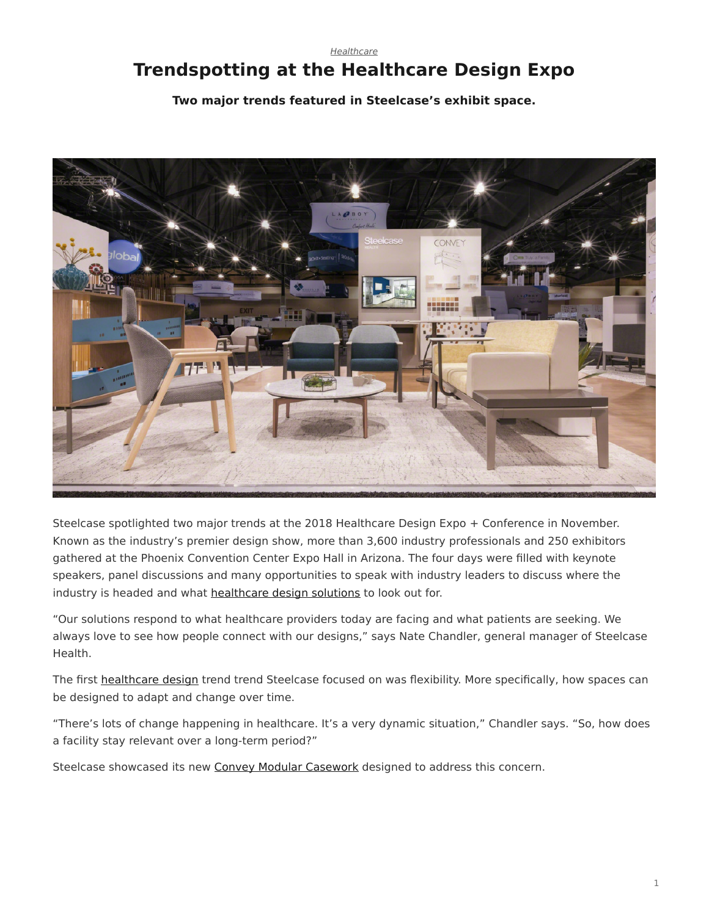## <span id="page-0-0"></span>*[Healthcare](https://www.steelcase.com/research/topics/healthcare/)* **Trendspotting at the Healthcare Design Expo**

**Two major trends featured in Steelcase's exhibit space.**



Steelcase spotlighted two major trends at the 2018 Healthcare Design Expo + Conference in November. Known as the industry's premier design show, more than 3,600 industry professionals and 250 exhibitors gathered at the Phoenix Convention Center Expo Hall in Arizona. The four days were filled with keynote speakers, panel discussions and many opportunities to speak with industry leaders to discuss where the industry is headed and what [healthcare design solutions](https://www.steelcase.com/discover/information/health/#health-products) to look out for.

"Our solutions respond to what healthcare providers today are facing and what patients are seeking. We always love to see how people connect with our designs," says Nate Chandler, general manager of Steelcase Health.

The first [healthcare design](https://www.steelcase.com/research/articles/predictions-for-healthcare-design-needs-in-the-next-5-years/) trend trend Steelcase focused on was flexibility. More specifically, how spaces can be designed to adapt and change over time.

"There's lots of change happening in healthcare. It's a very dynamic situation," Chandler says. "So, how does a facility stay relevant over a long-term period?"

Steelcase showcased its new [Convey Modular Casework](https://www.steelcase.com/products/bookcases-cabinets/convey/) designed to address this concern.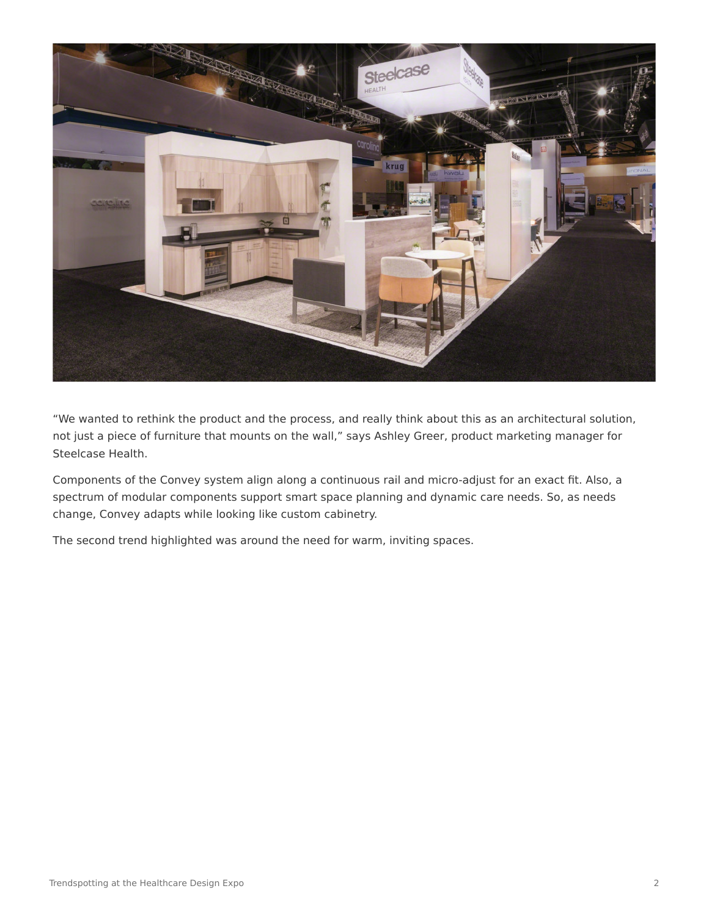

"We wanted to rethink the product and the process, and really think about this as an architectural solution, not just a piece of furniture that mounts on the wall," says Ashley Greer, product marketing manager for Steelcase Health.

Components of the Convey system align along a continuous rail and micro-adjust for an exact fit. Also, a spectrum of modular components support smart space planning and dynamic care needs. So, as needs change, Convey adapts while looking like custom cabinetry.

The second trend highlighted was around the need for warm, inviting spaces.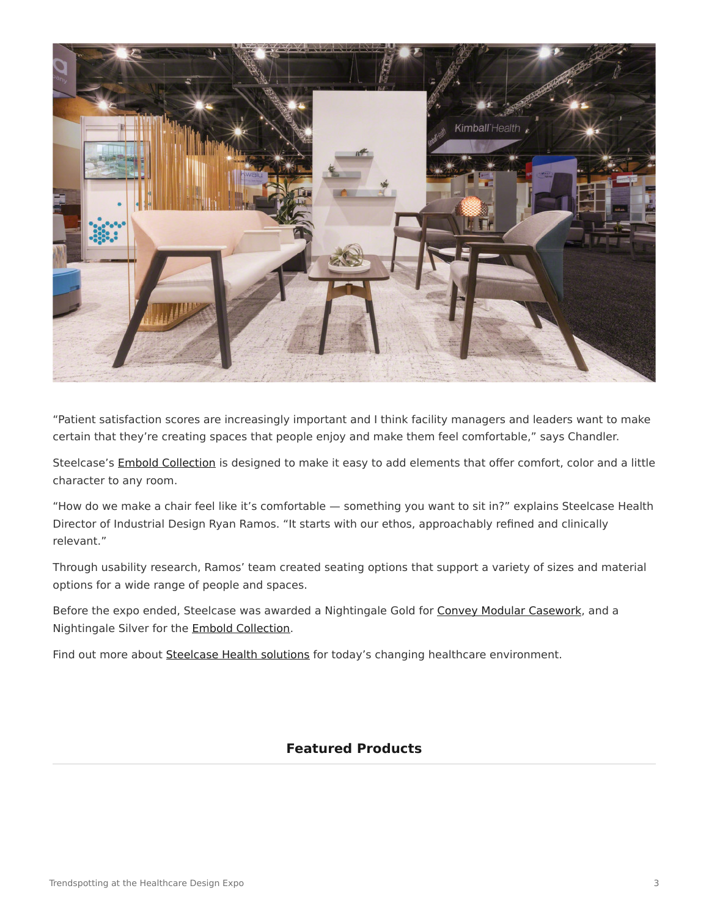

"Patient satisfaction scores are increasingly important and I think facility managers and leaders want to make certain that they're creating spaces that people enjoy and make them feel comfortable," says Chandler.

Steelcase's [Embold Collection](https://www.steelcase.com/products/guest-chairs-stools/embold-collection/) is designed to make it easy to add elements that offer comfort, color and a little character to any room.

"How do we make a chair feel like it's comfortable — something you want to sit in?" explains Steelcase Health Director of Industrial Design Ryan Ramos. "It starts with our ethos, approachably refined and clinically relevant."

Through usability research, Ramos' team created seating options that support a variety of sizes and material options for a wide range of people and spaces.

Before the expo ended, Steelcase was awarded a Nightingale Gold for [Convey Modular Casework](https://www.steelcase.com/products/bookcases-cabinets/convey/), and a Nightingale Silver for the [Embold Collection.](https://www.steelcase.com/products/guest-chairs-stools/embold-collection/)

Find out more about [Steelcase Health solutions](https://www.steelcase.com/discover/information/health/) for today's changing healthcare environment.

## **Featured Products**